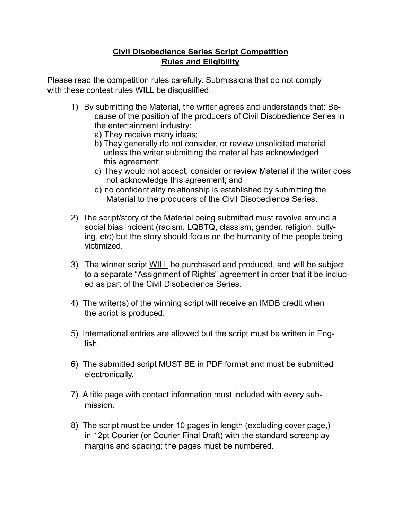## **Civil Disobedience Series Script Competition Rules and Eligibility**

Please read the competition rules carefully. Submissions that do not comply with these contest rules WILL be disqualified.

- 1) By submitting the Material, the writer agrees and understands that: Because of the position of the producers of Civil Disobedience Series in the entertainment industry:
	- a) They receive many ideas;
	- b) They generally do not consider, or review unsolicited material unless the writer submitting the material has acknowledged this agreement;
	- c) They would not accept, consider or review Material if the writer does not acknowledge this agreement; and
	- d) no confidentiality relationship is established by submitting the Material to the producers of the Civil Disobedience Series.
- 2) The script/story of the Material being submitted must revolve around a social bias incident (racism, LQBTQ, classism, gender, religion, bullying, etc) but the story should focus on the humanity of the people being victimized.
- 3) The winner script WILL be purchased and produced, and will be subject to a separate "Assignment of Rights" agreement in order that it be included as part of the Civil Disobedience Series.
- 4) The writer(s) of the winning script will receive an IMDB credit when the script is produced.
- 5) International entries are allowed but the script must be written in English.
- 6) The submitted script MUST BE in PDF format and must be submitted electronically.
- 7) A title page with contact information must included with every submission.
- 8) The script must be under 10 pages in length (excluding cover page,) in 12pt Courier (or Courier Final Draft) with the standard screenplay margins and spacing; the pages must be numbered.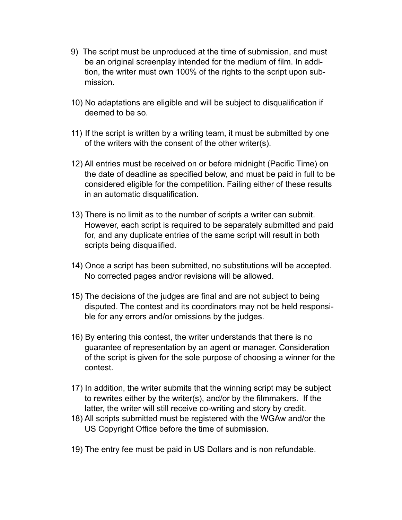- 9) The script must be unproduced at the time of submission, and must be an original screenplay intended for the medium of film. In addition, the writer must own 100% of the rights to the script upon submission.
- 10) No adaptations are eligible and will be subject to disqualification if deemed to be so.
- 11) If the script is written by a writing team, it must be submitted by one of the writers with the consent of the other writer(s).
- 12) All entries must be received on or before midnight (Pacific Time) on the date of deadline as specified below, and must be paid in full to be considered eligible for the competition. Failing either of these results in an automatic disqualification.
- 13) There is no limit as to the number of scripts a writer can submit. However, each script is required to be separately submitted and paid for, and any duplicate entries of the same script will result in both scripts being disqualified.
- 14) Once a script has been submitted, no substitutions will be accepted. No corrected pages and/or revisions will be allowed.
- 15) The decisions of the judges are final and are not subject to being disputed. The contest and its coordinators may not be held responsible for any errors and/or omissions by the judges.
- 16) By entering this contest, the writer understands that there is no guarantee of representation by an agent or manager. Consideration of the script is given for the sole purpose of choosing a winner for the contest.
- 17) In addition, the writer submits that the winning script may be subject to rewrites either by the writer(s), and/or by the filmmakers. If the latter, the writer will still receive co-writing and story by credit.
- 18) All scripts submitted must be registered with the WGAw and/or the US Copyright Office before the time of submission.
- 19) The entry fee must be paid in US Dollars and is non refundable.